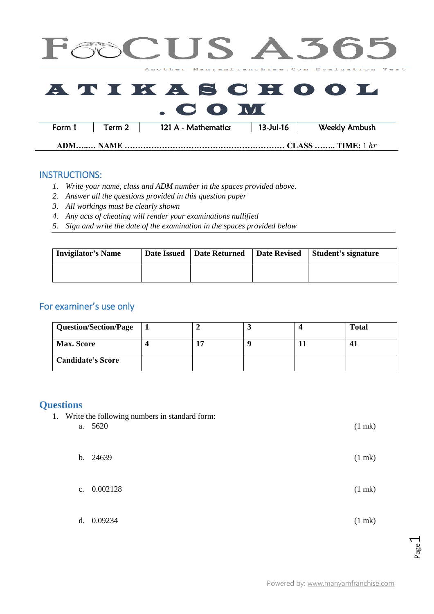|          |        |                     |              | CUS A365                                     |  |
|----------|--------|---------------------|--------------|----------------------------------------------|--|
|          |        |                     |              | Another Manyamfranchise. Com Evaluation Test |  |
|          |        | $\sim$ 00 M         |              | <b>ATIKASCHOOL</b>                           |  |
| Form 1   | Term 2 | 121 A - Mathematics | $13$ -Jul-16 | <b>Weekly Ambush</b>                         |  |
| ADM NAME |        |                     |              | <b>CLASS  TIME:</b> 1 hr                     |  |

## INSTRUCTIONS:

- *1. Write your name, class and ADM number in the spaces provided above.*
- *2. Answer all the questions provided in this question paper*
- *3. All workings must be clearly shown*
- *4. Any acts of cheating will render your examinations nullified*
- *5. Sign and write the date of the examination in the spaces provided below*

| <b>Invigilator's Name</b> | Date Issued | Date Returned | <b>Date Revised</b> | Student's signature |
|---------------------------|-------------|---------------|---------------------|---------------------|
|                           |             |               |                     |                     |

## For examiner's use only

| Question/Section/Page    |  |  | <b>Total</b> |
|--------------------------|--|--|--------------|
| <b>Max. Score</b>        |  |  |              |
| <b>Candidate's Score</b> |  |  |              |

## **Questions**

1. Write the following numbers in standard form:

| a. | 5620          | $(1$ mk $)$ |
|----|---------------|-------------|
|    | b. 24639      | $(1$ mk $)$ |
|    | c. $0.002128$ | $(1$ mk $)$ |
|    | d. 0.09234    | $(1$ mk $)$ |

Page  $\overline{\phantom{0}}$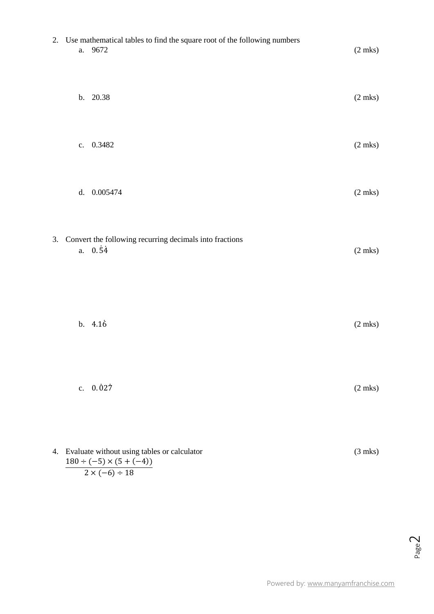|    |    | 2. Use mathematical tables to find the square root of the following numbers<br>a. 9672 | $(2$ mks $)$ |
|----|----|----------------------------------------------------------------------------------------|--------------|
|    |    | b. 20.38                                                                               | $(2$ mks $)$ |
|    | c. | 0.3482                                                                                 | $(2$ mks $)$ |
|    |    | d. 0.005474                                                                            | $(2$ mks $)$ |
|    | a. | 3. Convert the following recurring decimals into fractions<br>$0.\overline{54}$        | $(2$ mks $)$ |
|    |    | b. 4.16                                                                                | $(2$ mks $)$ |
|    | c. | $0.\dot{0}27$                                                                          | $(2$ mks $)$ |
| 4. |    | Evaluate without using tables or calculator<br>$180 \div (-5) \times (5 + (-4))$       | $(3$ mks $)$ |

$$
2 \times (-6) \div 18
$$

Powered by: [www.manyamfranchise.com](http://www.manyamfranchise.com/)

Page  $\overline{\curvearrowright}$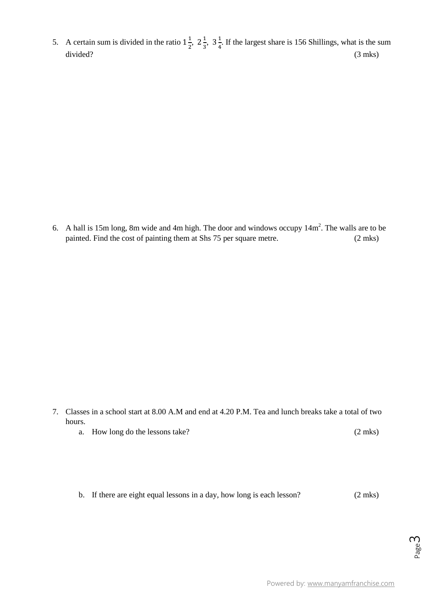5. A certain sum is divided in the ratio  $1\frac{1}{3}$  $\frac{1}{2}$ ,  $2\frac{1}{3}$  $\frac{1}{3}$ ,  $3\frac{1}{4}$  $\frac{1}{4}$ . If the largest share is 156 Shillings, what is the sum divided? (3 mks)

6. A hall is 15m long, 8m wide and 4m high. The door and windows occupy  $14m^2$ . The walls are to be painted. Find the cost of painting them at Shs 75 per square metre. (2 mks)

- 7. Classes in a school start at 8.00 A.M and end at 4.20 P.M. Tea and lunch breaks take a total of two hours.
	- a. How long do the lessons take? (2 mks)
	- b. If there are eight equal lessons in a day, how long is each lesson? (2 mks)